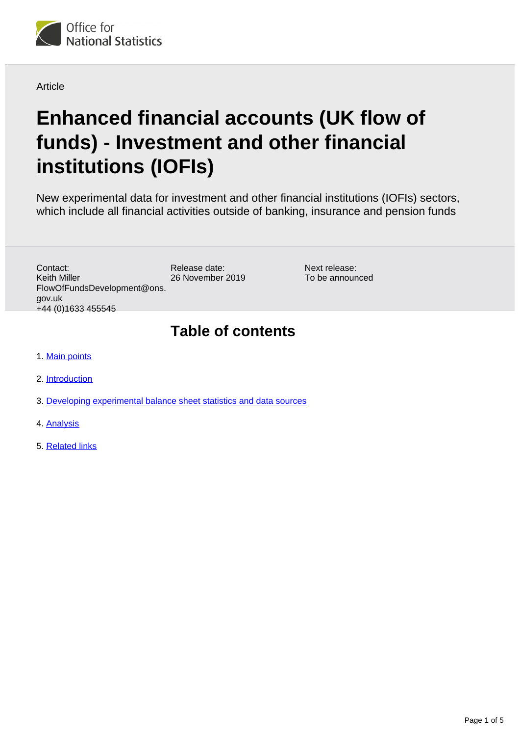

Article

# **Enhanced financial accounts (UK flow of funds) - Investment and other financial institutions (IOFIs)**

New experimental data for investment and other financial institutions (IOFIs) sectors, which include all financial activities outside of banking, insurance and pension funds

> Next release: To be announced

Release date: 26 November 2019 Contact: Keith Miller FlowOfFundsDevelopment@ons. gov.uk +44 (0)1633 455545

#### **Table of contents**

- 1. [Main points](#page-1-0)
- 2. [Introduction](#page-1-1)
- 3. [Developing experimental balance sheet statistics and data sources](#page-2-0)
- 4. [Analysis](#page-3-0)
- 5. [Related links](#page-4-0)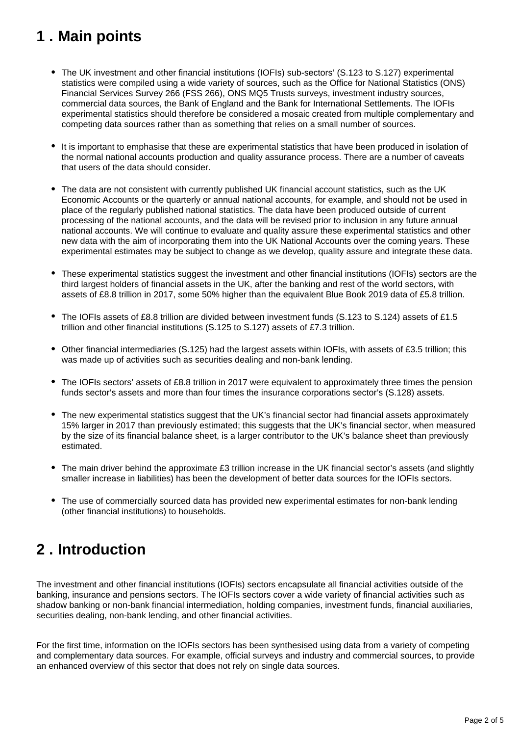# <span id="page-1-0"></span>**1 . Main points**

- The UK investment and other financial institutions (IOFIs) sub-sectors' (S.123 to S.127) experimental statistics were compiled using a wide variety of sources, such as the Office for National Statistics (ONS) Financial Services Survey 266 (FSS 266), ONS MQ5 Trusts surveys, investment industry sources, commercial data sources, the Bank of England and the Bank for International Settlements. The IOFIs experimental statistics should therefore be considered a mosaic created from multiple complementary and competing data sources rather than as something that relies on a small number of sources.
- It is important to emphasise that these are experimental statistics that have been produced in isolation of the normal national accounts production and quality assurance process. There are a number of caveats that users of the data should consider.
- The data are not consistent with currently published UK financial account statistics, such as the UK Economic Accounts or the quarterly or annual national accounts, for example, and should not be used in place of the regularly published national statistics. The data have been produced outside of current processing of the national accounts, and the data will be revised prior to inclusion in any future annual national accounts. We will continue to evaluate and quality assure these experimental statistics and other new data with the aim of incorporating them into the UK National Accounts over the coming years. These experimental estimates may be subject to change as we develop, quality assure and integrate these data.
- These experimental statistics suggest the investment and other financial institutions (IOFIs) sectors are the third largest holders of financial assets in the UK, after the banking and rest of the world sectors, with assets of £8.8 trillion in 2017, some 50% higher than the equivalent Blue Book 2019 data of £5.8 trillion.
- The IOFIs assets of £8.8 trillion are divided between investment funds (S.123 to S.124) assets of £1.5 trillion and other financial institutions (S.125 to S.127) assets of £7.3 trillion.
- Other financial intermediaries (S.125) had the largest assets within IOFIs, with assets of £3.5 trillion; this was made up of activities such as securities dealing and non-bank lending.
- The IOFIs sectors' assets of £8.8 trillion in 2017 were equivalent to approximately three times the pension funds sector's assets and more than four times the insurance corporations sector's (S.128) assets.
- The new experimental statistics suggest that the UK's financial sector had financial assets approximately 15% larger in 2017 than previously estimated; this suggests that the UK's financial sector, when measured by the size of its financial balance sheet, is a larger contributor to the UK's balance sheet than previously estimated.
- The main driver behind the approximate £3 trillion increase in the UK financial sector's assets (and slightly smaller increase in liabilities) has been the development of better data sources for the IOFIs sectors.
- The use of commercially sourced data has provided new experimental estimates for non-bank lending (other financial institutions) to households.

# <span id="page-1-1"></span>**2 . Introduction**

The investment and other financial institutions (IOFIs) sectors encapsulate all financial activities outside of the banking, insurance and pensions sectors. The IOFIs sectors cover a wide variety of financial activities such as shadow banking or non-bank financial intermediation, holding companies, investment funds, financial auxiliaries, securities dealing, non-bank lending, and other financial activities.

For the first time, information on the IOFIs sectors has been synthesised using data from a variety of competing and complementary data sources. For example, official surveys and industry and commercial sources, to provide an enhanced overview of this sector that does not rely on single data sources.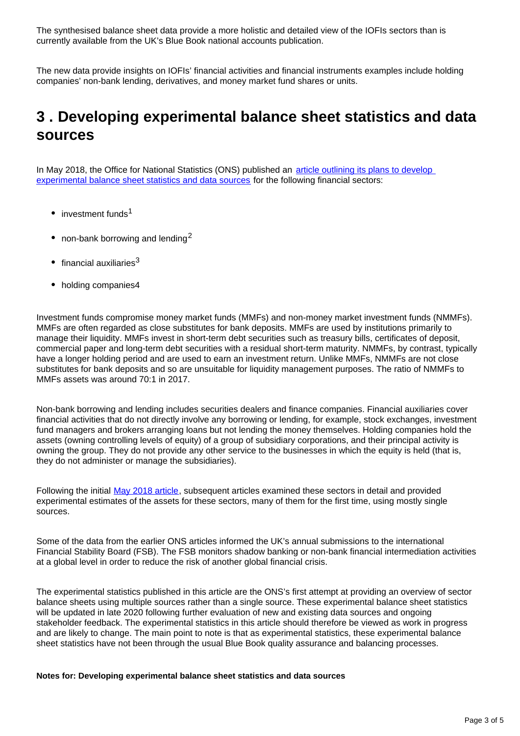The synthesised balance sheet data provide a more holistic and detailed view of the IOFIs sectors than is currently available from the UK's Blue Book national accounts publication.

The new data provide insights on IOFIs' financial activities and financial instruments examples include holding companies' non-bank lending, derivatives, and money market fund shares or units.

### <span id="page-2-0"></span>**3 . Developing experimental balance sheet statistics and data sources**

In May 2018, the Office for National Statistics (ONS) published an article outlining its plans to develop [experimental balance sheet statistics and data sources](https://www.ons.gov.uk/economy/nationalaccounts/uksectoraccounts/articles/economicstatisticstransformationprogrammeenhancedfinancialaccountsukflowoffundsshadowbankingintroductoryarticle/2018-05-01) for the following financial sectors:

- $\bullet$  investment funds<sup>1</sup>
- non-bank borrowing and lending<sup>2</sup>
- $\bullet$  financial auxiliaries<sup>3</sup>
- holding companies4

Investment funds compromise money market funds (MMFs) and non-money market investment funds (NMMFs). MMFs are often regarded as close substitutes for bank deposits. MMFs are used by institutions primarily to manage their liquidity. MMFs invest in short-term debt securities such as treasury bills, certificates of deposit, commercial paper and long-term debt securities with a residual short-term maturity. NMMFs, by contrast, typically have a longer holding period and are used to earn an investment return. Unlike MMFs, NMMFs are not close substitutes for bank deposits and so are unsuitable for liquidity management purposes. The ratio of NMMFs to MMFs assets was around 70:1 in 2017.

Non-bank borrowing and lending includes securities dealers and finance companies. Financial auxiliaries cover financial activities that do not directly involve any borrowing or lending, for example, stock exchanges, investment fund managers and brokers arranging loans but not lending the money themselves. Holding companies hold the assets (owning controlling levels of equity) of a group of subsidiary corporations, and their principal activity is owning the group. They do not provide any other service to the businesses in which the equity is held (that is, they do not administer or manage the subsidiaries).

Following the initial [May 2018 article,](https://www.ons.gov.uk/economy/nationalaccounts/uksectoraccounts/articles/economicstatisticstransformationprogrammeenhancedfinancialaccountsukflowoffundsshadowbankingintroductoryarticle/2018-05-01) subsequent articles examined these sectors in detail and provided experimental estimates of the assets for these sectors, many of them for the first time, using mostly single sources.

Some of the data from the earlier ONS articles informed the UK's annual submissions to the international Financial Stability Board (FSB). The FSB monitors shadow banking or non-bank financial intermediation activities at a global level in order to reduce the risk of another global financial crisis.

The experimental statistics published in this article are the ONS's first attempt at providing an overview of sector balance sheets using multiple sources rather than a single source. These experimental balance sheet statistics will be updated in late 2020 following further evaluation of new and existing data sources and ongoing stakeholder feedback. The experimental statistics in this article should therefore be viewed as work in progress and are likely to change. The main point to note is that as experimental statistics, these experimental balance sheet statistics have not been through the usual Blue Book quality assurance and balancing processes.

#### **Notes for: Developing experimental balance sheet statistics and data sources**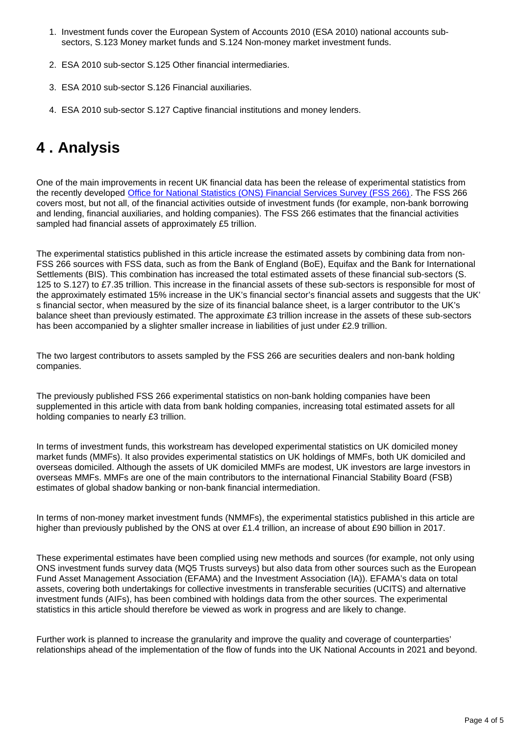- 1. Investment funds cover the European System of Accounts 2010 (ESA 2010) national accounts subsectors, S.123 Money market funds and S.124 Non-money market investment funds.
- 2. ESA 2010 sub-sector S.125 Other financial intermediaries.
- 3. ESA 2010 sub-sector S.126 Financial auxiliaries.
- 4. ESA 2010 sub-sector S.127 Captive financial institutions and money lenders.

### <span id="page-3-0"></span>**4 . Analysis**

One of the main improvements in recent UK financial data has been the release of experimental statistics from the recently developed [Office for National Statistics \(ONS\) Financial Services Survey \(FSS 266\)](https://www.ons.gov.uk/surveys/informationforbusinesses/businesssurveys/financialservicessurvey). The FSS 266 covers most, but not all, of the financial activities outside of investment funds (for example, non-bank borrowing and lending, financial auxiliaries, and holding companies). The FSS 266 estimates that the financial activities sampled had financial assets of approximately £5 trillion.

The experimental statistics published in this article increase the estimated assets by combining data from non-FSS 266 sources with FSS data, such as from the Bank of England (BoE), Equifax and the Bank for International Settlements (BIS). This combination has increased the total estimated assets of these financial sub-sectors (S. 125 to S.127) to £7.35 trillion. This increase in the financial assets of these sub-sectors is responsible for most of the approximately estimated 15% increase in the UK's financial sector's financial assets and suggests that the UK' s financial sector, when measured by the size of its financial balance sheet, is a larger contributor to the UK's balance sheet than previously estimated. The approximate £3 trillion increase in the assets of these sub-sectors has been accompanied by a slighter smaller increase in liabilities of just under £2.9 trillion.

The two largest contributors to assets sampled by the FSS 266 are securities dealers and non-bank holding companies.

The previously published FSS 266 experimental statistics on non-bank holding companies have been supplemented in this article with data from bank holding companies, increasing total estimated assets for all holding companies to nearly £3 trillion.

In terms of investment funds, this workstream has developed experimental statistics on UK domiciled money market funds (MMFs). It also provides experimental statistics on UK holdings of MMFs, both UK domiciled and overseas domiciled. Although the assets of UK domiciled MMFs are modest, UK investors are large investors in overseas MMFs. MMFs are one of the main contributors to the international Financial Stability Board (FSB) estimates of global shadow banking or non-bank financial intermediation.

In terms of non-money market investment funds (NMMFs), the experimental statistics published in this article are higher than previously published by the ONS at over £1.4 trillion, an increase of about £90 billion in 2017.

These experimental estimates have been complied using new methods and sources (for example, not only using ONS investment funds survey data (MQ5 Trusts surveys) but also data from other sources such as the European Fund Asset Management Association (EFAMA) and the Investment Association (IA)). EFAMA's data on total assets, covering both undertakings for collective investments in transferable securities (UCITS) and alternative investment funds (AIFs), has been combined with holdings data from the other sources. The experimental statistics in this article should therefore be viewed as work in progress and are likely to change.

Further work is planned to increase the granularity and improve the quality and coverage of counterparties' relationships ahead of the implementation of the flow of funds into the UK National Accounts in 2021 and beyond.